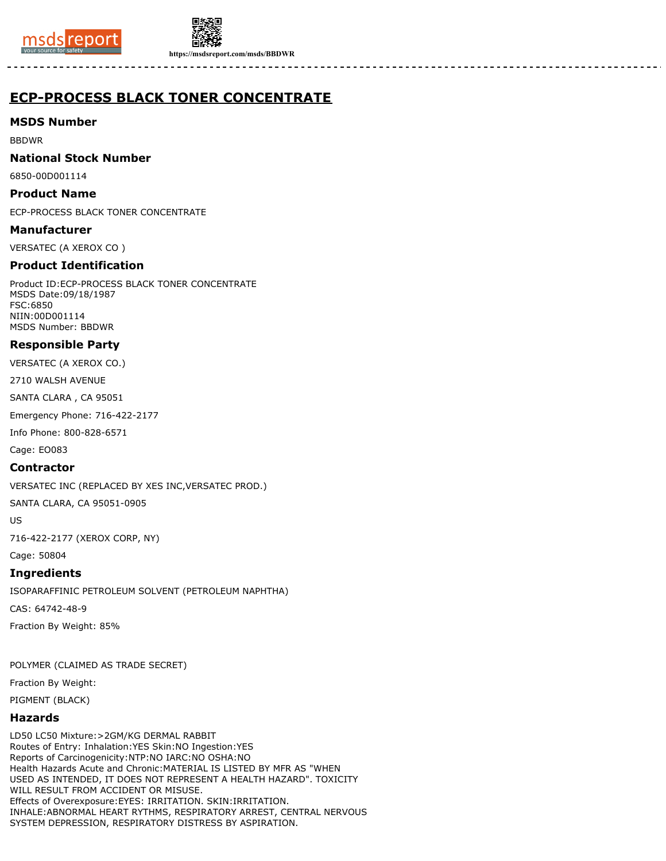



**https://msdsreport.com/msds/BBDWR**

# **ECP-PROCESS BLACK TONER CONCENTRATE**

**MSDS Number**

BBDWR

**National Stock Number**

6850-00D001114

**Product Name**

ECP-PROCESS BLACK TONER CONCENTRATE

**Manufacturer**

VERSATEC (A XEROX CO )

## **Product Identification**

Product ID:ECP-PROCESS BLACK TONER CONCENTRATE MSDS Date:09/18/1987 FSC:6850 NIIN:00D001114 MSDS Number: BBDWR

## **Responsible Party**

VERSATEC (A XEROX CO.)

2710 WALSH AVENUE

SANTA CLARA , CA 95051

Emergency Phone: 716-422-2177

Info Phone: 800-828-6571

Cage: EO083

### **Contractor**

VERSATEC INC (REPLACED BY XES INC,VERSATEC PROD.)

SANTA CLARA, CA 95051-0905

US

716-422-2177 (XEROX CORP, NY)

Cage: 50804

### **Ingredients**

ISOPARAFFINIC PETROLEUM SOLVENT (PETROLEUM NAPHTHA)

CAS: 64742-48-9

Fraction By Weight: 85%

POLYMER (CLAIMED AS TRADE SECRET)

Fraction By Weight:

PIGMENT (BLACK)

# **Hazards**

LD50 LC50 Mixture:>2GM/KG DERMAL RABBIT Routes of Entry: Inhalation:YES Skin:NO Ingestion:YES Reports of Carcinogenicity:NTP:NO IARC:NO OSHA:NO Health Hazards Acute and Chronic:MATERIAL IS LISTED BY MFR AS "WHEN USED AS INTENDED, IT DOES NOT REPRESENT A HEALTH HAZARD". TOXICITY WILL RESULT FROM ACCIDENT OR MISUSE. Effects of Overexposure:EYES: IRRITATION. SKIN:IRRITATION. INHALE:ABNORMAL HEART RYTHMS, RESPIRATORY ARREST, CENTRAL NERVOUS SYSTEM DEPRESSION, RESPIRATORY DISTRESS BY ASPIRATION.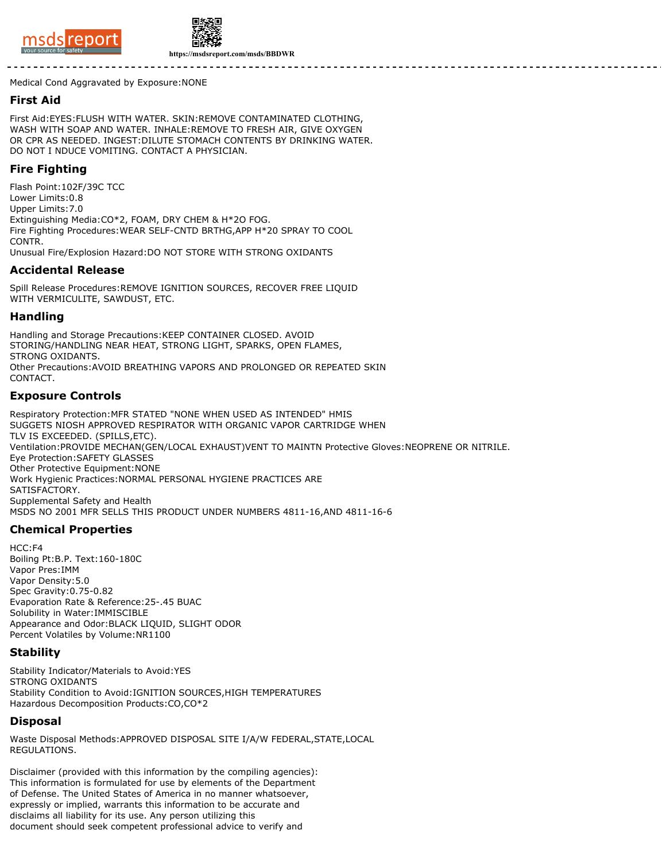



**https://msdsreport.com/msds/BBDWR**

Medical Cond Aggravated by Exposure:NONE

#### **First Aid**

First Aid:EYES:FLUSH WITH WATER. SKIN:REMOVE CONTAMINATED CLOTHING, WASH WITH SOAP AND WATER. INHALE:REMOVE TO FRESH AIR, GIVE OXYGEN OR CPR AS NEEDED. INGEST:DILUTE STOMACH CONTENTS BY DRINKING WATER. DO NOT I NDUCE VOMITING. CONTACT A PHYSICIAN.

### **Fire Fighting**

Flash Point:102F/39C TCC Lower Limits:0.8 Upper Limits:7.0 Extinguishing Media:CO\*2, FOAM, DRY CHEM & H\*2O FOG. Fire Fighting Procedures:WEAR SELF-CNTD BRTHG,APP H\*20 SPRAY TO COOL CONTR. Unusual Fire/Explosion Hazard:DO NOT STORE WITH STRONG OXIDANTS

#### **Accidental Release**

Spill Release Procedures:REMOVE IGNITION SOURCES, RECOVER FREE LIQUID WITH VERMICULITE, SAWDUST, ETC.

#### **Handling**

Handling and Storage Precautions:KEEP CONTAINER CLOSED. AVOID STORING/HANDLING NEAR HEAT, STRONG LIGHT, SPARKS, OPEN FLAMES, STRONG OXIDANTS. Other Precautions:AVOID BREATHING VAPORS AND PROLONGED OR REPEATED SKIN CONTACT.

#### **Exposure Controls**

Respiratory Protection:MFR STATED "NONE WHEN USED AS INTENDED" HMIS SUGGETS NIOSH APPROVED RESPIRATOR WITH ORGANIC VAPOR CARTRIDGE WHEN TLV IS EXCEEDED. (SPILLS,ETC). Ventilation:PROVIDE MECHAN(GEN/LOCAL EXHAUST)VENT TO MAINTN Protective Gloves:NEOPRENE OR NITRILE. Eye Protection:SAFETY GLASSES Other Protective Equipment:NONE Work Hygienic Practices:NORMAL PERSONAL HYGIENE PRACTICES ARE SATISFACTORY. Supplemental Safety and Health MSDS NO 2001 MFR SELLS THIS PRODUCT UNDER NUMBERS 4811-16,AND 4811-16-6

# **Chemical Properties**

HCC:F4 Boiling Pt:B.P. Text:160-180C Vapor Pres:IMM Vapor Density:5.0 Spec Gravity:0.75-0.82 Evaporation Rate & Reference:25-.45 BUAC Solubility in Water:IMMISCIBLE Appearance and Odor:BLACK LIQUID, SLIGHT ODOR Percent Volatiles by Volume:NR1100

#### **Stability**

Stability Indicator/Materials to Avoid:YES STRONG OXIDANTS Stability Condition to Avoid:IGNITION SOURCES,HIGH TEMPERATURES Hazardous Decomposition Products:CO,CO\*2

# **Disposal**

Waste Disposal Methods:APPROVED DISPOSAL SITE I/A/W FEDERAL,STATE,LOCAL REGULATIONS.

Disclaimer (provided with this information by the compiling agencies): This information is formulated for use by elements of the Department of Defense. The United States of America in no manner whatsoever, expressly or implied, warrants this information to be accurate and disclaims all liability for its use. Any person utilizing this document should seek competent professional advice to verify and